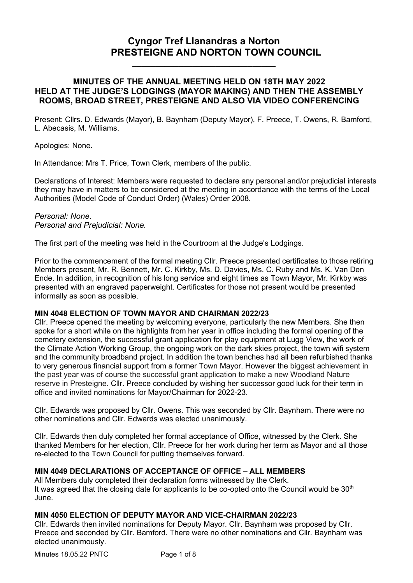# **Cyngor Tref Llanandras a Norton PRESTEIGNE AND NORTON TOWN COUNCIL**

# **MINUTES OF THE ANNUAL MEETING HELD ON 18TH MAY 2022 HELD AT THE JUDGE'S LODGINGS (MAYOR MAKING) AND THEN THE ASSEMBLY ROOMS, BROAD STREET, PRESTEIGNE AND ALSO VIA VIDEO CONFERENCING**

**\_\_\_\_\_\_\_\_\_\_\_\_\_\_\_\_\_\_\_\_\_\_\_\_\_\_\_\_\_\_\_**

 Present: Cllrs. D. Edwards (Mayor), B. Baynham (Deputy Mayor), F. Preece, T. Owens, R. Bamford, L. Abecasis, M. Williams.

Apologies: None.

In Attendance: Mrs T. Price, Town Clerk, members of the public.

Declarations of Interest: Members were requested to declare any personal and/or prejudicial interests they may have in matters to be considered at the meeting in accordance with the terms of the Local Authorities (Model Code of Conduct Order) (Wales) Order 2008.

*Personal: None. Personal and Prejudicial: None.*

The first part of the meeting was held in the Courtroom at the Judge's Lodgings.

Prior to the commencement of the formal meeting Cllr. Preece presented certificates to those retiring Members present, Mr. R. Bennett, Mr. C. Kirkby, Ms. D. Davies, Ms. C. Ruby and Ms. K. Van Den Ende. In addition, in recognition of his long service and eight times as Town Mayor, Mr. Kirkby was presented with an engraved paperweight. Certificates for those not present would be presented informally as soon as possible.

# **MIN 4048 ELECTION OF TOWN MAYOR AND CHAIRMAN 2022/23**

Cllr. Preece opened the meeting by welcoming everyone, particularly the new Members. She then spoke for a short while on the highlights from her year in office including the formal opening of the cemetery extension, the successful grant application for play equipment at Lugg View, the work of the Climate Action Working Group, the ongoing work on the dark skies project, the town wifi system and the community broadband project. In addition the town benches had all been refurbished thanks to very generous financial support from a former Town Mayor. However the biggest achievement in the past year was of course the successful grant application to make a new Woodland Nature reserve in Presteigne. Cllr. Preece concluded by wishing her successor good luck for their term in office and invited nominations for Mayor/Chairman for 2022-23.

Cllr. Edwards was proposed by Cllr. Owens. This was seconded by Cllr. Baynham. There were no other nominations and Cllr. Edwards was elected unanimously.

Cllr. Edwards then duly completed her formal acceptance of Office, witnessed by the Clerk. She thanked Members for her election, Cllr. Preece for her work during her term as Mayor and all those re-elected to the Town Council for putting themselves forward.

# **MIN 4049 DECLARATIONS OF ACCEPTANCE OF OFFICE – ALL MEMBERS**

All Members duly completed their declaration forms witnessed by the Clerk. It was agreed that the closing date for applicants to be co-opted onto the Council would be  $30<sup>th</sup>$ June.

# **MIN 4050 ELECTION OF DEPUTY MAYOR AND VICE-CHAIRMAN 2022/23**

Cllr. Edwards then invited nominations for Deputy Mayor. Cllr. Baynham was proposed by Cllr. Preece and seconded by Cllr. Bamford. There were no other nominations and Cllr. Baynham was elected unanimously.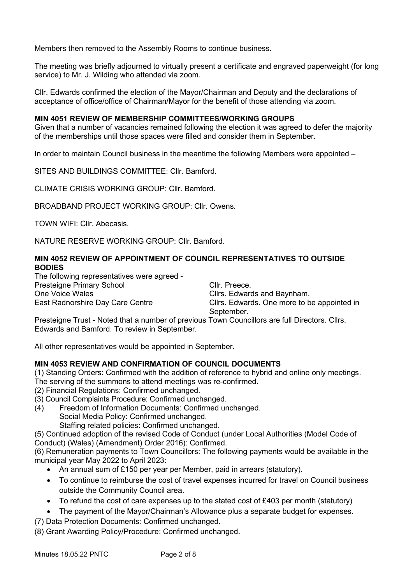Members then removed to the Assembly Rooms to continue business.

The meeting was briefly adjourned to virtually present a certificate and engraved paperweight (for long service) to Mr. J. Wilding who attended via zoom.

Cllr. Edwards confirmed the election of the Mayor/Chairman and Deputy and the declarations of acceptance of office/office of Chairman/Mayor for the benefit of those attending via zoom.

# **MIN 4051 REVIEW OF MEMBERSHIP COMMITTEES/WORKING GROUPS**

Given that a number of vacancies remained following the election it was agreed to defer the majority of the memberships until those spaces were filled and consider them in September.

In order to maintain Council business in the meantime the following Members were appointed –

SITES AND BUILDINGS COMMITTEE: Cllr. Bamford.

CLIMATE CRISIS WORKING GROUP: Cllr. Bamford.

BROADBAND PROJECT WORKING GROUP: Cllr. Owens.

TOWN WIFI: Cllr. Abecasis.

NATURE RESERVE WORKING GROUP: Cllr. Bamford.

# **MIN 4052 REVIEW OF APPOINTMENT OF COUNCIL REPRESENTATIVES TO OUTSIDE BODIES**

The following representatives were agreed - Presteigne Primary School Cllr. Preece. One Voice Wales Clirs. Edwards and Baynham.

East Radnorshire Day Care Centre **Cancell** Cllrs. Edwards. One more to be appointed in September.

Presteigne Trust - Noted that a number of previous Town Councillors are full Directors. Cllrs. Edwards and Bamford. To review in September.

All other representatives would be appointed in September.

# **MIN 4053 REVIEW AND CONFIRMATION OF COUNCIL DOCUMENTS**

(1) Standing Orders: Confirmed with the addition of reference to hybrid and online only meetings. The serving of the summons to attend meetings was re-confirmed.

(2) Financial Regulations: Confirmed unchanged.

- (3) Council Complaints Procedure: Confirmed unchanged.
- (4) Freedom of Information Documents: Confirmed unchanged. Social Media Policy: Confirmed unchanged.
	- Staffing related policies: Confirmed unchanged.

(5) Continued adoption of the revised Code of Conduct (under Local Authorities (Model Code of Conduct) (Wales) (Amendment) Order 2016): Confirmed.

(6) Remuneration payments to Town Councillors: The following payments would be available in the municipal year May 2022 to April 2023:

- An annual sum of £150 per year per Member, paid in arrears (statutory).
- To continue to reimburse the cost of travel expenses incurred for travel on Council business outside the Community Council area.
- To refund the cost of care expenses up to the stated cost of  $£403$  per month (statutory)
- The payment of the Mayor/Chairman's Allowance plus a separate budget for expenses.
- (7) Data Protection Documents: Confirmed unchanged.
- (8) Grant Awarding Policy/Procedure: Confirmed unchanged.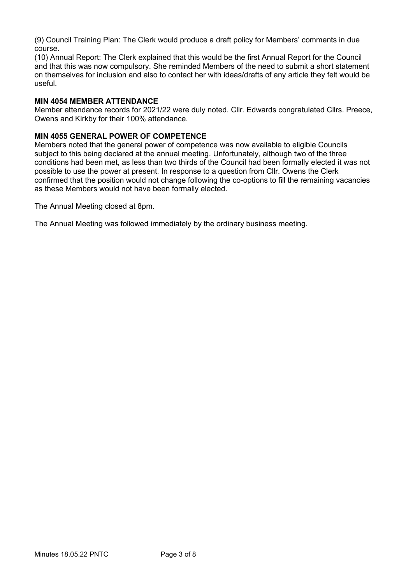(9) Council Training Plan: The Clerk would produce a draft policy for Members' comments in due course.

(10) Annual Report: The Clerk explained that this would be the first Annual Report for the Council and that this was now compulsory. She reminded Members of the need to submit a short statement on themselves for inclusion and also to contact her with ideas/drafts of any article they felt would be useful.

# **MIN 4054 MEMBER ATTENDANCE**

Member attendance records for 2021/22 were duly noted. Cllr. Edwards congratulated Cllrs. Preece, Owens and Kirkby for their 100% attendance.

#### **MIN 4055 GENERAL POWER OF COMPETENCE**

Members noted that the general power of competence was now available to eligible Councils subject to this being declared at the annual meeting. Unfortunately, although two of the three conditions had been met, as less than two thirds of the Council had been formally elected it was not possible to use the power at present. In response to a question from Cllr. Owens the Clerk confirmed that the position would not change following the co-options to fill the remaining vacancies as these Members would not have been formally elected.

The Annual Meeting closed at 8pm.

The Annual Meeting was followed immediately by the ordinary business meeting.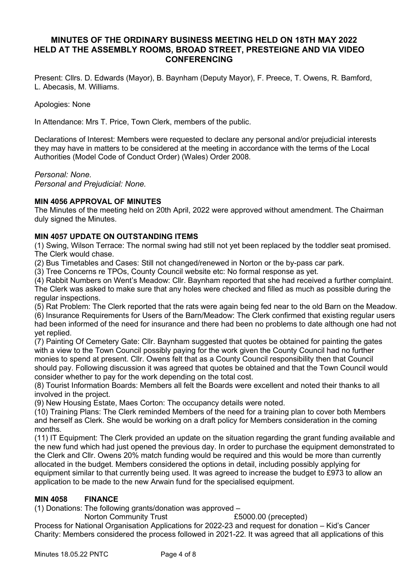# **MINUTES OF THE ORDINARY BUSINESS MEETING HELD ON 18TH MAY 2022 HELD AT THE ASSEMBLY ROOMS, BROAD STREET, PRESTEIGNE AND VIA VIDEO CONFERENCING**

 Present: Cllrs. D. Edwards (Mayor), B. Baynham (Deputy Mayor), F. Preece, T. Owens, R. Bamford, L. Abecasis, M. Williams.

Apologies: None

In Attendance: Mrs T. Price, Town Clerk, members of the public.

Declarations of Interest: Members were requested to declare any personal and/or prejudicial interests they may have in matters to be considered at the meeting in accordance with the terms of the Local Authorities (Model Code of Conduct Order) (Wales) Order 2008.

*Personal: None.*

*Personal and Prejudicial: None.*

# **MIN 4056 APPROVAL OF MINUTES**

The Minutes of the meeting held on 20th April, 2022 were approved without amendment. The Chairman duly signed the Minutes.

#### **MIN 4057 UPDATE ON OUTSTANDING ITEMS**

(1) Swing, Wilson Terrace: The normal swing had still not yet been replaced by the toddler seat promised. The Clerk would chase.

(2) Bus Timetables and Cases: Still not changed/renewed in Norton or the by-pass car park.

(3) Tree Concerns re TPOs, County Council website etc: No formal response as yet.

(4) Rabbit Numbers on Went's Meadow: Cllr. Baynham reported that she had received a further complaint. The Clerk was asked to make sure that any holes were checked and filled as much as possible during the regular inspections.

(5) Rat Problem: The Clerk reported that the rats were again being fed near to the old Barn on the Meadow. (6) Insurance Requirements for Users of the Barn/Meadow: The Clerk confirmed that existing regular users had been informed of the need for insurance and there had been no problems to date although one had not yet replied.

(7) Painting Of Cemetery Gate: Cllr. Baynham suggested that quotes be obtained for painting the gates with a view to the Town Council possibly paying for the work given the County Council had no further monies to spend at present. Cllr. Owens felt that as a County Council responsibility then that Council should pay. Following discussion it was agreed that quotes be obtained and that the Town Council would consider whether to pay for the work depending on the total cost.

(8) Tourist Information Boards: Members all felt the Boards were excellent and noted their thanks to all involved in the project.

(9) New Housing Estate, Maes Corton: The occupancy details were noted.

(10) Training Plans: The Clerk reminded Members of the need for a training plan to cover both Members and herself as Clerk. She would be working on a draft policy for Members consideration in the coming months.

(11) IT Equipment: The Clerk provided an update on the situation regarding the grant funding available and the new fund which had just opened the previous day. In order to purchase the equipment demonstrated to the Clerk and Cllr. Owens 20% match funding would be required and this would be more than currently allocated in the budget. Members considered the options in detail, including possibly applying for equipment similar to that currently being used. It was agreed to increase the budget to £973 to allow an application to be made to the new Arwain fund for the specialised equipment.

# **MIN 4058 FINANCE**

(1) Donations: The following grants/donation was approved –

Norton Community Trust **E5000.00** (precepted)

Process for National Organisation Applications for 2022-23 and request for donation – Kid's Cancer Charity: Members considered the process followed in 2021-22. It was agreed that all applications of this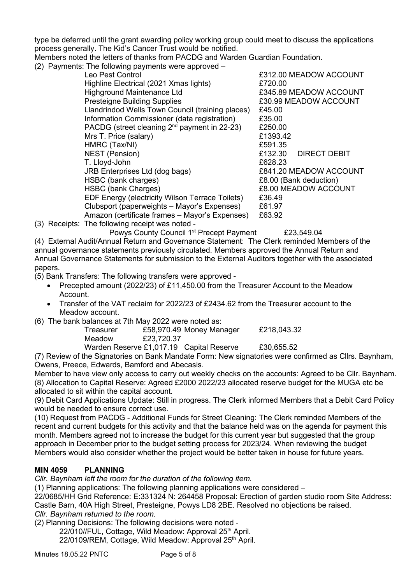type be deferred until the grant awarding policy working group could meet to discuss the applications process generally. The Kid's Cancer Trust would be notified.

Members noted the letters of thanks from PACDG and Warden Guardian Foundation.

(2) Payments: The following payments were approved –

| Leo Pest Control                                  | £312.00 MEADOW ACCOUNT         |
|---------------------------------------------------|--------------------------------|
| Highline Electrical (2021 Xmas lights)            | £720.00                        |
| Highground Maintenance Ltd                        | £345.89 MEADOW ACCOUNT         |
| <b>Presteigne Building Supplies</b>               | £30.99 MEADOW ACCOUNT          |
| Llandrindod Wells Town Council (training places)  | £45.00                         |
| Information Commissioner (data registration)      | £35.00                         |
| PACDG (street cleaning $2^{nd}$ payment in 22-23) | £250.00                        |
| Mrs T. Price (salary)                             | £1393.42                       |
| HMRC (Tax/NI)                                     | £591.35                        |
| <b>NEST</b> (Pension)                             | £132.30<br><b>DIRECT DEBIT</b> |
| T. Lloyd-John                                     | £628.23                        |
| JRB Enterprises Ltd (dog bags)                    | £841.20 MEADOW ACCOUNT         |
| HSBC (bank charges)                               | £8.00 (Bank deduction)         |
| HSBC (bank Charges)                               | £8.00 MEADOW ACCOUNT           |
| EDF Energy (electricity Wilson Terrace Toilets)   | £36.49                         |
| Clubsport (paperweights - Mayor's Expenses)       | £61.97                         |
| Amazon (certificate frames - Mayor's Expenses)    | £63.92                         |
|                                                   |                                |

(3) Receipts: The following receipt was noted -

Powys County Council 1<sup>st</sup> Precept Payment £23,549.04

(4) External Audit/Annual Return and Governance Statement: The Clerk reminded Members of the annual governance statements previously circulated. Members approved the Annual Return and Annual Governance Statements for submission to the External Auditors together with the associated papers.

(5) Bank Transfers: The following transfers were approved -

- Precepted amount (2022/23) of £11,450.00 from the Treasurer Account to the Meadow Account.
- Transfer of the VAT reclaim for 2022/23 of £2434.62 from the Treasurer account to the Meadow account.

(6) The bank balances at 7th May 2022 were noted as:

| Treasurer |            | £58,970.49 Money Manager                 | £218,043.32 |
|-----------|------------|------------------------------------------|-------------|
| Meadow    | £23,720.37 |                                          |             |
|           |            | Warden Reserve £1,017.19 Capital Reserve | £30,655.52  |

(7) Review of the Signatories on Bank Mandate Form: New signatories were confirmed as Cllrs. Baynham, Owens, Preece, Edwards, Bamford and Abecasis.

Member to have view only access to carry out weekly checks on the accounts: Agreed to be Cllr. Baynham. (8) Allocation to Capital Reserve: Agreed £2000 2022/23 allocated reserve budget for the MUGA etc be allocated to sit within the capital account.

(9) Debit Card Applications Update: Still in progress. The Clerk informed Members that a Debit Card Policy would be needed to ensure correct use.

(10) Request from PACDG - Additional Funds for Street Cleaning: The Clerk reminded Members of the recent and current budgets for this activity and that the balance held was on the agenda for payment this month. Members agreed not to increase the budget for this current year but suggested that the group approach in December prior to the budget setting process for 2023/24. When reviewing the budget Members would also consider whether the project would be better taken in house for future years.

# **MIN 4059 PLANNING**

*Cllr. Baynham left the room for the duration of the following item.*

(1) Planning applications: The following planning applications were considered –

22/0685/HH Grid Reference: E:331324 N: 264458 Proposal: Erection of garden studio room Site Address: Castle Barn, 40A High Street, Presteigne, Powys LD8 2BE. Resolved no objections be raised.

*Cllr. Baynham returned to the room.*

(2) Planning Decisions: The following decisions were noted -

22/010//FUL, Cottage, Wild Meadow: Approval 25<sup>th</sup> April.

22/0109/REM, Cottage, Wild Meadow: Approval 25<sup>th</sup> April.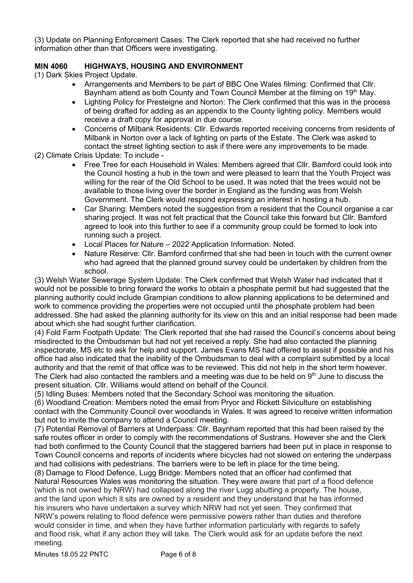(3) Update on Planning Enforcement Cases: The Clerk reported that she had received no further information other than that Officers were investigating.

# **MIN 4060 HIGHWAYS, HOUSING AND ENVIRONMENT**

(1) Dark Skies Project Update.

- Arrangements and Members to be part of BBC One Wales filming: Confirmed that Cllr. Baynham attend as both County and Town Council Member at the filming on 19<sup>th</sup> May.
- Lighting Policy for Presteigne and Norton: The Clerk confirmed that this was in the process of being drafted for adding as an appendix to the County lighting policy. Members would receive a draft copy for approval in due course.
- Concerns of Milbank Residents: Cllr. Edwards reported receiving concerns from residents of Milbank in Norton over a lack of lighting on parts of the Estate. The Clerk was asked to contact the street lighting section to ask if there were any improvements to be made.
- (2) Climate Crisis Update: To include
	- Free Tree for each Household in Wales: Members agreed that Cllr. Bamford could look into the Council hosting a hub in the town and were pleased to learn that the Youth Project was willing for the rear of the Old School to be used. It was noted that the trees would not be available to those living over the border in England as the funding was from Welsh Government. The Clerk would respond expressing an interest in hosting a hub.
	- Car Sharing: Members noted the suggestion from a resident that the Council organise a car sharing project. It was not felt practical that the Council take this forward but Cllr. Bamford agreed to look into this further to see if a community group could be formed to look into running such a project.
	- Local Places for Nature 2022 Application Information: Noted.
	- Nature Reserve: Cllr. Bamford confirmed that she had been in touch with the current owner who had agreed that the planned ground survey could be undertaken by children from the school.

(3) Welsh Water Sewerage System Update: The Clerk confirmed that Welsh Water had indicated that it would not be possible to bring forward the works to obtain a phosphate permit but had suggested that the planning authority could include Grampian conditions to allow planning applications to be determined and work to commence providing the properties were not occupied until the phosphate problem had been addressed. She had asked the planning authority for its view on this and an initial response had been made about which she had sought further clarification.

(4) Fold Farm Footpath Update: The Clerk reported that she had raised the Council's concerns about being misdirected to the Ombudsman but had not yet received a reply. She had also contacted the planning inspectorate, MS etc to ask for help and support. James Evans MS had offered to assist if possible and his office had also indicated that the inability of the Ombudsman to deal with a complaint submitted by a local authority and that the remit of that office was to be reviewed. This did not help in the short term however. The Clerk had also contacted the ramblers and a meeting was due to be held on  $9<sup>th</sup>$  June to discuss the present situation. Cllr. Williams would attend on behalf of the Council.

(5) Idling Buses: Members noted that the Secondary School was monitoring the situation.

(6) Woodland Creation: Members noted the email from Pryor and Rickett Silviculture on establishing contact with the Community Council over woodlands in Wales. It was agreed to receive written information but not to invite the company to attend a Council meeting.

(7) Potential Removal of Barriers at Underpass: Cllr. Baynham reported that this had been raised by the safe routes officer in order to comply with the recommendations of Sustrans. However she and the Clerk had both confirmed to the County Council that the staggered barriers had been put in place in response to Town Council concerns and reports of incidents where bicycles had not slowed on entering the underpass and had collisions with pedestrians. The barriers were to be left in place for the time being.

(8) Damage to Flood Defence, Lugg Bridge: Members noted that an officer had confirmed that Natural Resources Wales was monitoring the situation. They were aware that part of a flood defence (which is not owned by NRW) had collapsed along the river Lugg abutting a property. The house, and the land upon which it sits are owned by a resident and they understand that he has informed his insurers who have undertaken a survey which NRW had not yet seen. They confirmed that NRW's powers relating to flood defence were permissive powers rather than duties and therefore would consider in time, and when they have further information particularly with regards to safety and flood risk, what if any action they will take. The Clerk would ask for an update before the next meeting.

Minutes 18.05.22 PNTC Page 6 of 8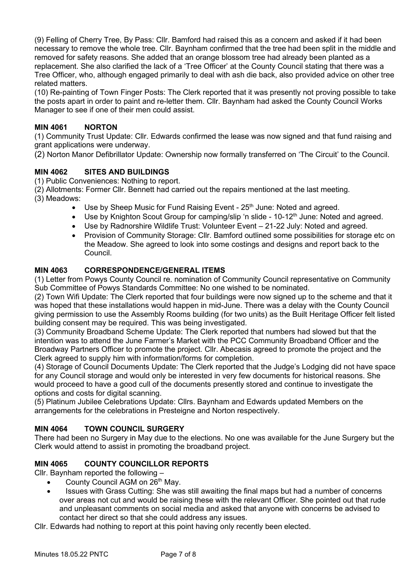(9) Felling of Cherry Tree, By Pass: Cllr. Bamford had raised this as a concern and asked if it had been necessary to remove the whole tree. Cllr. Baynham confirmed that the tree had been split in the middle and removed for safety reasons. She added that an orange blossom tree had already been planted as a replacement. She also clarified the lack of a 'Tree Officer' at the County Council stating that there was a Tree Officer, who, although engaged primarily to deal with ash die back, also provided advice on other tree related matters.

(10) Re-painting of Town Finger Posts: The Clerk reported that it was presently not proving possible to take the posts apart in order to paint and re-letter them. Cllr. Baynham had asked the County Council Works Manager to see if one of their men could assist.

# **MIN 4061 NORTON**

(1) Community Trust Update: Cllr. Edwards confirmed the lease was now signed and that fund raising and grant applications were underway.

(2) Norton Manor Defibrillator Update: Ownership now formally transferred on 'The Circuit' to the Council.

# **MIN 4062 SITES AND BUILDINGS**

(1) Public Conveniences: Nothing to report.

(2) Allotments: Former Cllr. Bennett had carried out the repairs mentioned at the last meeting.

(3) Meadows:

- Use by Sheep Music for Fund Raising Event  $25<sup>th</sup>$  June: Noted and agreed.
- Use by Knighton Scout Group for camping/slip 'n slide 10-12<sup>th</sup> June: Noted and agreed.
- Use by Radnorshire Wildlife Trust: Volunteer Event 21-22 July: Noted and agreed.
- Provision of Community Storage: Cllr. Bamford outlined some possibilities for storage etc on the Meadow. She agreed to look into some costings and designs and report back to the Council.

# **MIN 4063 CORRESPONDENCE/GENERAL ITEMS**

(1) Letter from Powys County Council re. nomination of Community Council representative on Community Sub Committee of Powys Standards Committee: No one wished to be nominated.

(2) Town Wifi Update: The Clerk reported that four buildings were now signed up to the scheme and that it was hoped that these installations would happen in mid-June. There was a delay with the County Council giving permission to use the Assembly Rooms building (for two units) as the Built Heritage Officer felt listed building consent may be required. This was being investigated.

(3) Community Broadband Scheme Update: The Clerk reported that numbers had slowed but that the intention was to attend the June Farmer's Market with the PCC Community Broadband Officer and the Broadway Partners Officer to promote the project. Cllr. Abecasis agreed to promote the project and the Clerk agreed to supply him with information/forms for completion.

(4) Storage of Council Documents Update: The Clerk reported that the Judge's Lodging did not have space for any Council storage and would only be interested in very few documents for historical reasons. She would proceed to have a good cull of the documents presently stored and continue to investigate the options and costs for digital scanning.

(5) Platinum Jubilee Celebrations Update: Cllrs. Baynham and Edwards updated Members on the arrangements for the celebrations in Presteigne and Norton respectively.

# **MIN 4064 TOWN COUNCIL SURGERY**

There had been no Surgery in May due to the elections. No one was available for the June Surgery but the Clerk would attend to assist in promoting the broadband project.

# **MIN 4065 COUNTY COUNCILLOR REPORTS**

Cllr. Baynham reported the following –

- County Council AGM on  $26<sup>th</sup>$  May.
- Issues with Grass Cutting: She was still awaiting the final maps but had a number of concerns over areas not cut and would be raising these with the relevant Officer. She pointed out that rude and unpleasant comments on social media and asked that anyone with concerns be advised to contact her direct so that she could address any issues.

Cllr. Edwards had nothing to report at this point having only recently been elected.